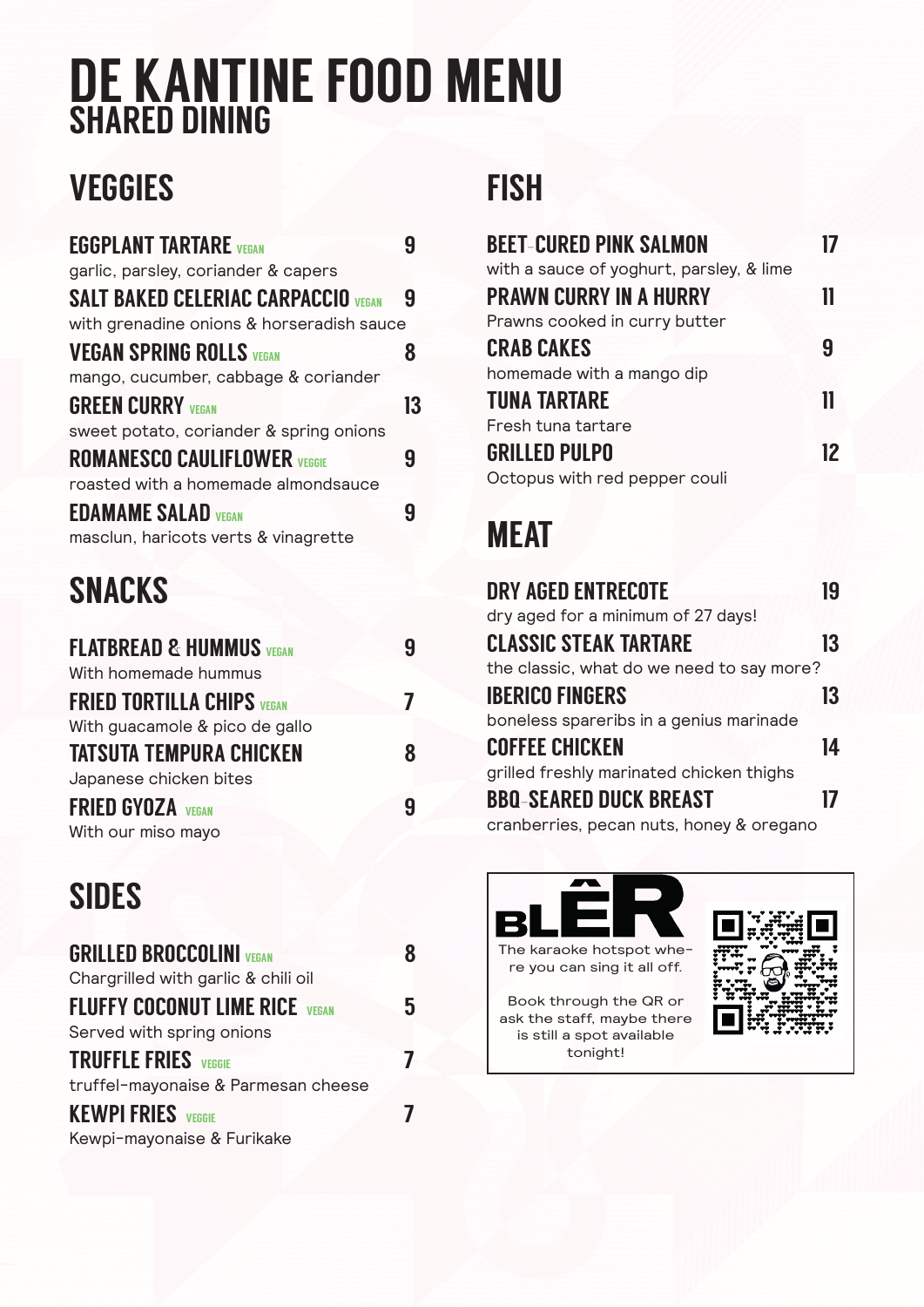# DE KANTINE FOOD MENU SHARED DINING

## **VEGGIES**

| <b>EGGPLANT TARTARE</b> VEGAN              |    |
|--------------------------------------------|----|
| garlic, parsley, coriander & capers        |    |
| <b>SALT BAKED CELERIAC CARPACCIO VEGAN</b> | 9  |
| with grenadine onions & horseradish sauce  |    |
| <b>VEGAN SPRING ROLLS VEGAN</b>            |    |
| mango, cucumber, cabbage & coriander       |    |
| <b>GREEN CURRY VEGAN</b>                   | 13 |
| sweet potato, coriander & spring onions    |    |
| <b>ROMANESCO CAULIFLOWER VEGGIE</b>        | Ч  |
| roasted with a homemade almondsauce        |    |
| <b>EDAMAME SALAD VEGAN</b>                 |    |
| masclun, haricots verts & vinagrette       |    |

### SNACKS

| <b>FLATBREAD &amp; HUMMUS VEGAN</b> | 9 |
|-------------------------------------|---|
| With homemade hummus                |   |
| <b>FRIED TORTILLA CHIPS VEGAN</b>   | 7 |
| With guacamole & pico de gallo      |   |
| <b>TATSUTA TEMPURA CHICKEN</b>      | 8 |
| Japanese chicken bites              |   |
| <b>FRIED GYOZA</b> VEGAN            | 9 |
| With our miso mayo                  |   |

### SIDES

| <b>GRILLED BROCCOLINI VEGAN</b>       |   |
|---------------------------------------|---|
| Chargrilled with garlic & chili oil   |   |
| <b>FLUFFY COCONUT LIME RICE VEGAN</b> | 5 |
| Served with spring onions             |   |
| <b>TRUFFLE FRIES</b> VEGGIE           |   |
| truffel-mayonaise & Parmesan cheese   |   |
| <b>KEWPI FRIES</b> VEGGIE             |   |
| Kewpi-mayonaise & Furikake            |   |

#### **FISH**

| <b>BEET-CURED PINK SALMON</b>            |    |
|------------------------------------------|----|
| with a sauce of yoghurt, parsley, & lime |    |
| <b>PRAWN CURRY IN A HURRY</b>            |    |
| Prawns cooked in curry butter            |    |
| <b>CRAB CAKES</b>                        | д  |
| homemade with a mango dip                |    |
| <b>TUNA TARTARE</b>                      |    |
| Fresh tuna tartare                       |    |
| <b>GRILLED PULPO</b>                     | 12 |
| Octopus with red pepper couli            |    |
|                                          |    |

### **MEAT**

| <b>DRY AGED ENTRECOTE</b>                 | 19 |
|-------------------------------------------|----|
| dry aged for a minimum of 27 days!        |    |
| <b>CLASSIC STEAK TARTARE</b>              | 13 |
| the classic, what do we need to say more? |    |
| <b>IBERICO FINGERS</b>                    | 13 |
| boneless spareribs in a genius marinade   |    |
| <b>COFFEE CHICKEN</b>                     | 14 |
| grilled freshly marinated chicken thighs  |    |
| <b>BBQ-SEARED DUCK BREAST</b>             |    |
| cranberries, pecan nuts, honey & oregano  |    |



Book through the QR or ask the staff, maybe there is still a spot available tonight!